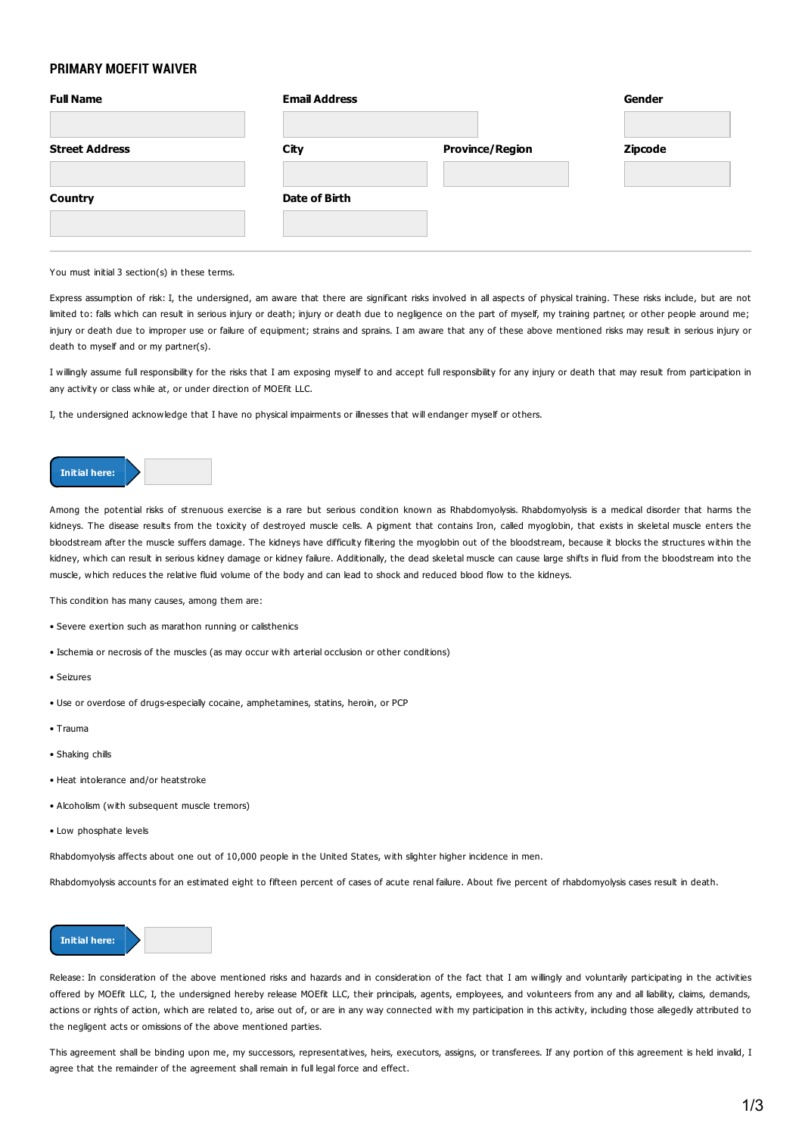## **PRIMARY MOEFIT WAIVER**

| <b>Full Name</b>      | <b>Email Address</b> |                        | Gender         |
|-----------------------|----------------------|------------------------|----------------|
| <b>Street Address</b> | City                 | <b>Province/Region</b> | <b>Zipcode</b> |
| <b>Country</b>        | Date of Birth        |                        |                |
|                       |                      |                        |                |

## You must initial 3 section(s) in these terms.

Express assumption of risk: I, the undersigned, am aware that there are significant risks involved in all aspects of physical training. These risks include, but are not limited to: falls which can result in serious injury or death; injury or death due to negligence on the part of myself, my training partner, or other people around me; injury or death due to improper use or failure of equipment; strains and sprains. I am aware that any of these above mentioned risks may result in serious injury or death to myself and or my partner(s).

I willingly assume full responsibility for the risks that I am exposing myself to and accept full responsibility for any injury or death that may result from participation in any activity or class while at, or under direction of MOEfit LLC.

I, the undersigned acknowledge that I have no physical impairments or illnesses that will endanger myself or others.



Among the potential risks of strenuous exercise is a rare but serious condition known as Rhabdomyolysis. Rhabdomyolysis is a medical disorder that harms the kidneys. The disease results from the toxicity of destroyed muscle cells. A pigment that contains Iron, called myoglobin, that exists in skeletal muscle enters the bloodstream after the muscle suffers damage. The kidneys have difficulty filtering the myoglobin out of the bloodstream, because it blocks the structures within the kidney, which can result in serious kidney damage or kidney failure. Additionally, the dead skeletal muscle can cause large shifts in fluid from the bloodstream into the muscle, which reduces the relative fluid volume of the body and can lead to shock and reduced blood flow to the kidneys.

This condition has many causes, among them are:

- Severe exertion such as marathon running or calisthenics
- Ischemia or necrosis of the muscles (as may occur with arterial occlusion or other conditions)
- Seizures
- Use or overdose of drugs-especially cocaine, amphetamines, statins, heroin, or PCP
- Trauma
- Shaking chills
- Heat intolerance and/or heatstroke
- Alcoholism (with subsequent muscle tremors)
- Low phosphate levels

Rhabdomyolysis affects about one out of 10,000 people in the United States, with slighter higher incidence in men.

Rhabdomyolysis accounts for an estimated eight to fifteen percent of cases of acute renal failure. About five percent of rhabdomyolysis cases result in death.



Release: In consideration of the above mentioned risks and hazards and in consideration of the fact that I am willingly and voluntarily participating in the activities offered by MOEfit LLC, I, the undersigned hereby release MOEfit LLC, their principals, agents, employees, and volunteers from any and all liability, claims, demands, actions or rights of action, which are related to, arise out of, or are in any way connected with my participation in this activity, including those allegedly attributed to the negligent acts or omissions of the above mentioned parties.

This agreement shall be binding upon me, my successors, representatives, heirs, executors, assigns, or transferees. If any portion of this agreement is held invalid, I agree that the remainder of the agreement shall remain in full legal force and effect.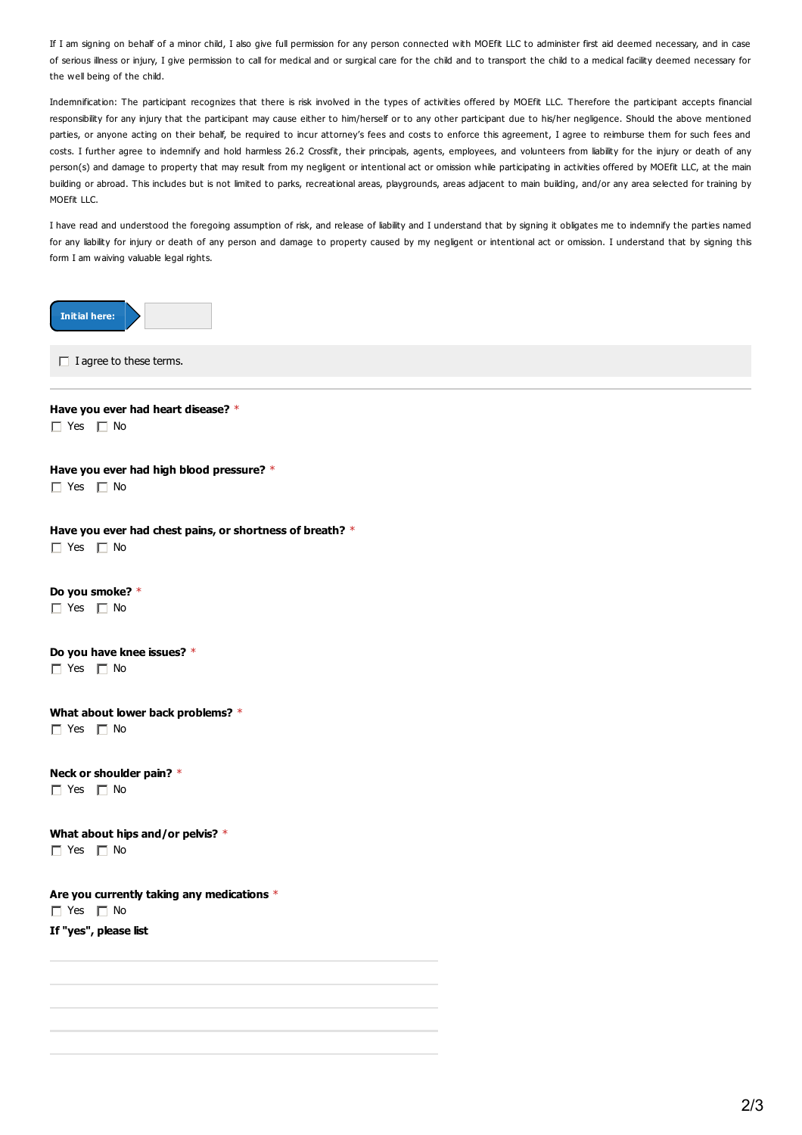If I am signing on behalf of a minor child, I also give full permission for any person connected with MOEfit LLC to administer first aid deemed necessary, and in case of serious illness or injury, I give permission to call for medical and or surgical care for the child and to transport the child to a medical facility deemed necessary for the well being of the child.

Indemnification: The participant recognizes that there is risk involved in the types of activities offered by MOEfit LLC. Therefore the participant accepts financial responsibility for any injury that the participant may cause either to him/herself or to any other participant due to his/her negligence. Should the above mentioned parties, or anyone acting on their behalf, be required to incur attorney's fees and costs to enforce this agreement, I agree to reimburse them for such fees and costs. I further agree to indemnify and hold harmless 26.2 Crossfit, their principals, agents, employees, and volunteers from liability for the injury or death of any person(s) and damage to property that may result from my negligent or intentional act or omission while participating in activities offered by MOEfit LLC, at the main building or abroad. This includes but is not limited to parks, recreational areas, playgrounds, areas adjacent to main building, and/or any area selected for training by MOFfit LLC.

I have read and understood the foregoing assumption of risk, and release of liability and I understand that by signing it obligates me to indemnify the parties named for any liability for injury or death of any person and damage to property caused by my negligent or intentional act or omission. I understand that by signing this form I am waiving valuable legal rights.

| <b>Initial here:</b>                                                                          |
|-----------------------------------------------------------------------------------------------|
| $\Box$ I agree to these terms.                                                                |
| Have you ever had heart disease? *<br>$\Box$ Yes $\Box$ No                                    |
| Have you ever had high blood pressure? *<br>$\Box$ Yes $\Box$ No                              |
| Have you ever had chest pains, or shortness of breath? *<br>$\Box$ Yes $\Box$ No              |
| Do you smoke? *<br>$\Box$ Yes $\Box$ No                                                       |
| Do you have knee issues? *<br>$\Box$ Yes $\Box$ No                                            |
| What about lower back problems? *<br>$\Box$ Yes $\Box$ No                                     |
| Neck or shoulder pain? *<br>$\Box$ Yes $\Box$ No                                              |
| What about hips and/or pelvis? *<br>$\Box$ Yes $\Box$ No                                      |
| Are you currently taking any medications $*$<br>$\Box$ Yes $\Box$ No<br>If "yes", please list |
|                                                                                               |